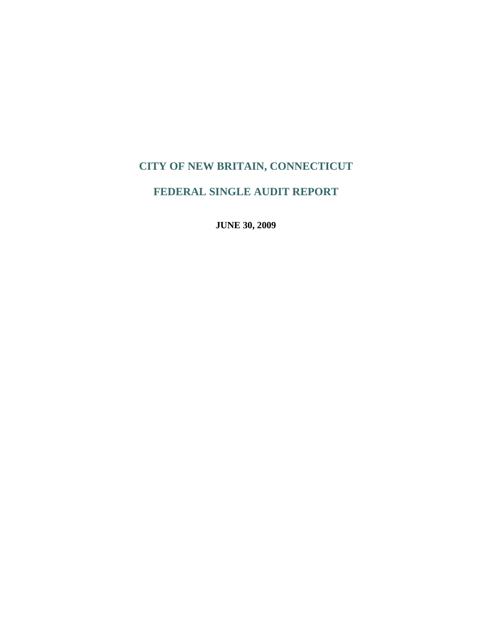## **FEDERAL SINGLE AUDIT REPORT**

**JUNE 30, 2009**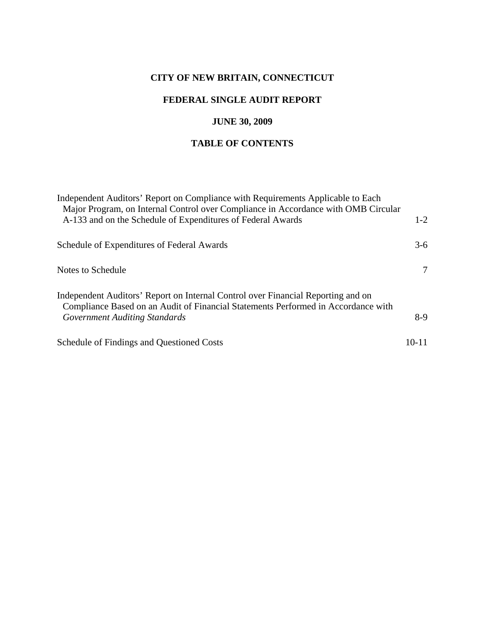## **FEDERAL SINGLE AUDIT REPORT**

## **JUNE 30, 2009**

## **TABLE OF CONTENTS**

| Independent Auditors' Report on Compliance with Requirements Applicable to Each<br>Major Program, on Internal Control over Compliance in Accordance with OMB Circular |           |
|-----------------------------------------------------------------------------------------------------------------------------------------------------------------------|-----------|
| A-133 and on the Schedule of Expenditures of Federal Awards                                                                                                           | $1 - 2$   |
| Schedule of Expenditures of Federal Awards                                                                                                                            | $3-6$     |
| Notes to Schedule                                                                                                                                                     | 7         |
| Independent Auditors' Report on Internal Control over Financial Reporting and on<br>Compliance Based on an Audit of Financial Statements Performed in Accordance with |           |
| <b>Government Auditing Standards</b>                                                                                                                                  | $8-9$     |
| Schedule of Findings and Questioned Costs                                                                                                                             | $10 - 11$ |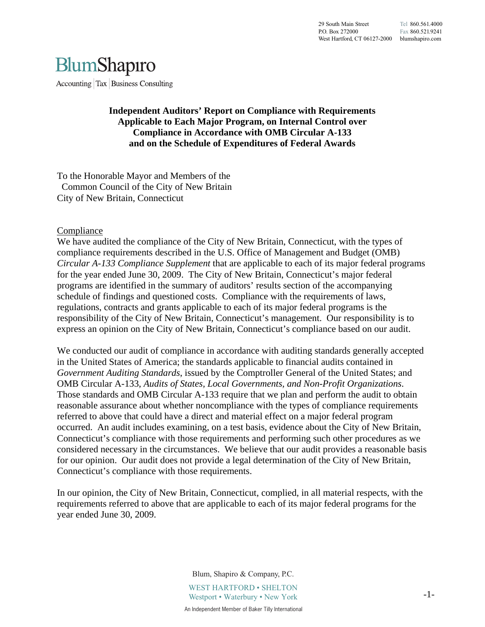

Accounting  $\vert$  Tax  $\vert$  Business Consulting

#### **Independent Auditors' Report on Compliance with Requirements Applicable to Each Major Program, on Internal Control over Compliance in Accordance with OMB Circular A-133 and on the Schedule of Expenditures of Federal Awards**

To the Honorable Mayor and Members of the Common Council of the City of New Britain City of New Britain, Connecticut

#### **Compliance**

We have audited the compliance of the City of New Britain, Connecticut, with the types of compliance requirements described in the U.S. Office of Management and Budget (OMB) *Circular A-133 Compliance Supplement* that are applicable to each of its major federal programs for the year ended June 30, 2009. The City of New Britain, Connecticut's major federal programs are identified in the summary of auditors' results section of the accompanying schedule of findings and questioned costs. Compliance with the requirements of laws, regulations, contracts and grants applicable to each of its major federal programs is the responsibility of the City of New Britain, Connecticut's management. Our responsibility is to express an opinion on the City of New Britain, Connecticut's compliance based on our audit.

We conducted our audit of compliance in accordance with auditing standards generally accepted in the United States of America; the standards applicable to financial audits contained in *Government Auditing Standards*, issued by the Comptroller General of the United States; and OMB Circular A-133, *Audits of States, Local Governments, and Non-Profit Organizations*. Those standards and OMB Circular A-133 require that we plan and perform the audit to obtain reasonable assurance about whether noncompliance with the types of compliance requirements referred to above that could have a direct and material effect on a major federal program occurred. An audit includes examining, on a test basis, evidence about the City of New Britain, Connecticut's compliance with those requirements and performing such other procedures as we considered necessary in the circumstances. We believe that our audit provides a reasonable basis for our opinion. Our audit does not provide a legal determination of the City of New Britain, Connecticut's compliance with those requirements.

In our opinion, the City of New Britain, Connecticut, complied, in all material respects, with the requirements referred to above that are applicable to each of its major federal programs for the year ended June 30, 2009.

> Blum, Shapiro & Company, P.C. WEST HARTFORD • SHELTON Westport • Waterbury • New York An Independent Member of Baker Tilly International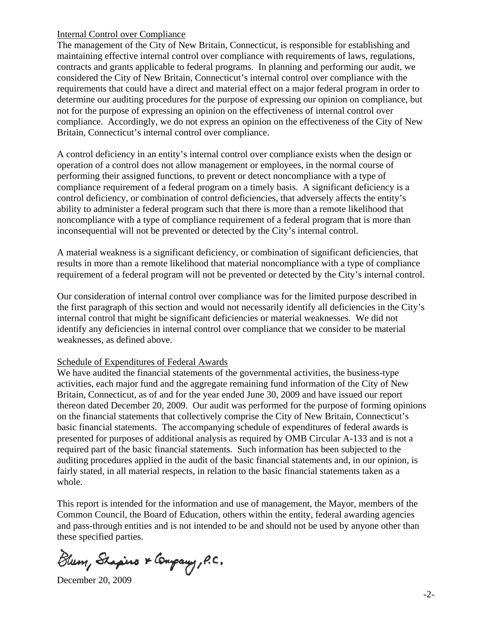#### Internal Control over Compliance

The management of the City of New Britain, Connecticut, is responsible for establishing and maintaining effective internal control over compliance with requirements of laws, regulations, contracts and grants applicable to federal programs. In planning and performing our audit, we considered the City of New Britain, Connecticut's internal control over compliance with the requirements that could have a direct and material effect on a major federal program in order to determine our auditing procedures for the purpose of expressing our opinion on compliance, but not for the purpose of expressing an opinion on the effectiveness of internal control over compliance. Accordingly, we do not express an opinion on the effectiveness of the City of New Britain, Connecticut's internal control over compliance.

A control deficiency in an entity's internal control over compliance exists when the design or operation of a control does not allow management or employees, in the normal course of performing their assigned functions, to prevent or detect noncompliance with a type of compliance requirement of a federal program on a timely basis. A significant deficiency is a control deficiency, or combination of control deficiencies, that adversely affects the entity's ability to administer a federal program such that there is more than a remote likelihood that noncompliance with a type of compliance requirement of a federal program that is more than inconsequential will not be prevented or detected by the City's internal control.

A material weakness is a significant deficiency, or combination of significant deficiencies, that results in more than a remote likelihood that material noncompliance with a type of compliance requirement of a federal program will not be prevented or detected by the City's internal control.

Our consideration of internal control over compliance was for the limited purpose described in the first paragraph of this section and would not necessarily identify all deficiencies in the City's internal control that might be significant deficiencies or material weaknesses. We did not identify any deficiencies in internal control over compliance that we consider to be material weaknesses, as defined above.

#### Schedule of Expenditures of Federal Awards

We have audited the financial statements of the governmental activities, the business-type activities, each major fund and the aggregate remaining fund information of the City of New Britain, Connecticut, as of and for the year ended June 30, 2009 and have issued our report thereon dated December 20, 2009. Our audit was performed for the purpose of forming opinions on the financial statements that collectively comprise the City of New Britain, Connecticut's basic financial statements. The accompanying schedule of expenditures of federal awards is presented for purposes of additional analysis as required by OMB Circular A-133 and is not a required part of the basic financial statements. Such information has been subjected to the auditing procedures applied in the audit of the basic financial statements and, in our opinion, is fairly stated, in all material respects, in relation to the basic financial statements taken as a whole.

This report is intended for the information and use of management, the Mayor, members of the Common Council, the Board of Education, others within the entity, federal awarding agencies and pass-through entities and is not intended to be and should not be used by anyone other than these specified parties.

Blum, Shapino & Company, P.C.

December 20, 2009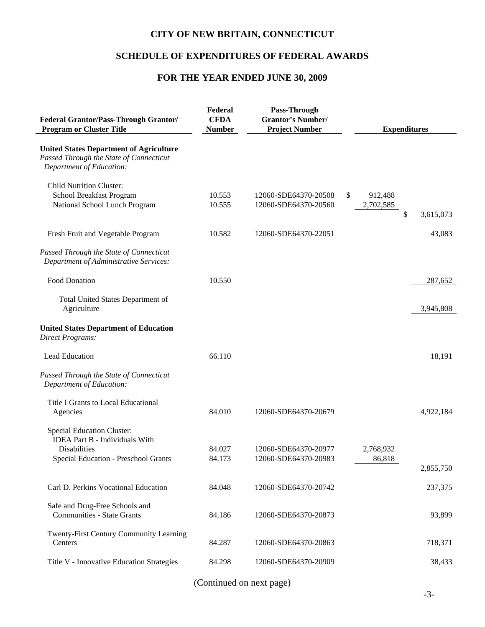## **SCHEDULE OF EXPENDITURES OF FEDERAL AWARDS**

## **FOR THE YEAR ENDED JUNE 30, 2009**

| <b>Federal Grantor/Pass-Through Grantor/</b><br><b>Program or Cluster Title</b>                                                           | Federal<br><b>CFDA</b><br><b>Number</b> | Pass-Through<br><b>Grantor's Number/</b><br><b>Project Number</b> | <b>Expenditures</b>              |           |
|-------------------------------------------------------------------------------------------------------------------------------------------|-----------------------------------------|-------------------------------------------------------------------|----------------------------------|-----------|
| <b>United States Department of Agriculture</b><br>Passed Through the State of Connecticut<br>Department of Education:                     |                                         |                                                                   |                                  |           |
| <b>Child Nutrition Cluster:</b><br>School Breakfast Program<br>National School Lunch Program                                              | 10.553<br>10.555                        | 12060-SDE64370-20508<br>12060-SDE64370-20560                      | \$<br>912,488<br>2,702,585<br>\$ | 3,615,073 |
| Fresh Fruit and Vegetable Program                                                                                                         | 10.582                                  | 12060-SDE64370-22051                                              |                                  | 43,083    |
| Passed Through the State of Connecticut<br>Department of Administrative Services:                                                         |                                         |                                                                   |                                  |           |
| Food Donation                                                                                                                             | 10.550                                  |                                                                   |                                  | 287,652   |
| <b>Total United States Department of</b><br>Agriculture                                                                                   |                                         |                                                                   |                                  | 3,945,808 |
| <b>United States Department of Education</b><br>Direct Programs:                                                                          |                                         |                                                                   |                                  |           |
| Lead Education                                                                                                                            | 66.110                                  |                                                                   |                                  | 18,191    |
| Passed Through the State of Connecticut<br>Department of Education:                                                                       |                                         |                                                                   |                                  |           |
| Title I Grants to Local Educational<br>Agencies                                                                                           | 84.010                                  | 12060-SDE64370-20679                                              |                                  | 4,922,184 |
| <b>Special Education Cluster:</b><br><b>IDEA Part B - Individuals With</b><br><b>Disabilities</b><br>Special Education - Preschool Grants | 84.027<br>84.173                        | 12060-SDE64370-20977<br>12060-SDE64370-20983                      | 2,768,932<br>86,818              | 2,855,750 |
| Carl D. Perkins Vocational Education                                                                                                      | 84.048                                  | 12060-SDE64370-20742                                              |                                  | 237,375   |
| Safe and Drug-Free Schools and<br><b>Communities - State Grants</b>                                                                       | 84.186                                  | 12060-SDE64370-20873                                              |                                  | 93,899    |
| Twenty-First Century Community Learning<br>Centers                                                                                        | 84.287                                  | 12060-SDE64370-20863                                              |                                  | 718,371   |
| Title V - Innovative Education Strategies                                                                                                 | 84.298                                  | 12060-SDE64370-20909                                              |                                  | 38,433    |

(Continued on next page)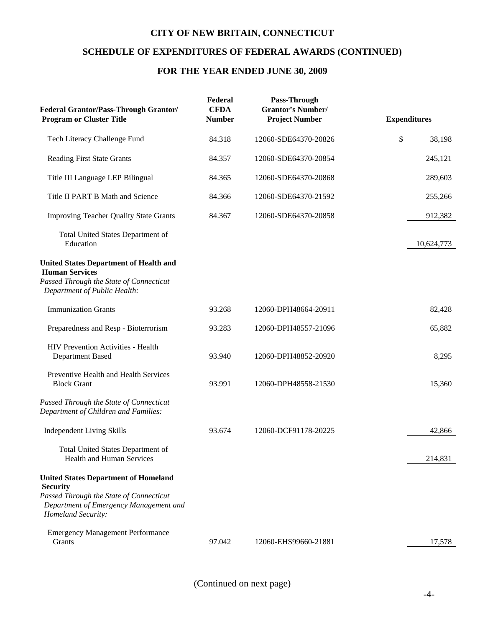## **SCHEDULE OF EXPENDITURES OF FEDERAL AWARDS (CONTINUED)**

## **FOR THE YEAR ENDED JUNE 30, 2009**

| <b>Federal Grantor/Pass-Through Grantor/</b><br><b>Program or Cluster Title</b>                                                                                           | Federal<br><b>CFDA</b><br><b>Number</b> | Pass-Through<br><b>Grantor's Number/</b><br><b>Project Number</b> | <b>Expenditures</b> |
|---------------------------------------------------------------------------------------------------------------------------------------------------------------------------|-----------------------------------------|-------------------------------------------------------------------|---------------------|
| Tech Literacy Challenge Fund                                                                                                                                              | 84.318                                  | 12060-SDE64370-20826                                              | \$<br>38,198        |
| <b>Reading First State Grants</b>                                                                                                                                         | 84.357                                  | 12060-SDE64370-20854                                              | 245,121             |
| Title III Language LEP Bilingual                                                                                                                                          | 84.365                                  | 12060-SDE64370-20868                                              | 289,603             |
| Title II PART B Math and Science                                                                                                                                          | 84.366                                  | 12060-SDE64370-21592                                              | 255,266             |
| <b>Improving Teacher Quality State Grants</b>                                                                                                                             | 84.367                                  | 12060-SDE64370-20858                                              | 912,382             |
| <b>Total United States Department of</b><br>Education                                                                                                                     |                                         |                                                                   | 10,624,773          |
| <b>United States Department of Health and</b><br><b>Human Services</b><br>Passed Through the State of Connecticut<br>Department of Public Health:                         |                                         |                                                                   |                     |
| <b>Immunization Grants</b>                                                                                                                                                | 93.268                                  | 12060-DPH48664-20911                                              | 82,428              |
| Preparedness and Resp - Bioterrorism                                                                                                                                      | 93.283                                  | 12060-DPH48557-21096                                              | 65,882              |
| HIV Prevention Activities - Health<br>Department Based                                                                                                                    | 93.940                                  | 12060-DPH48852-20920                                              | 8,295               |
| Preventive Health and Health Services<br><b>Block Grant</b>                                                                                                               | 93.991                                  | 12060-DPH48558-21530                                              | 15,360              |
| Passed Through the State of Connecticut<br>Department of Children and Families:                                                                                           |                                         |                                                                   |                     |
| <b>Independent Living Skills</b>                                                                                                                                          | 93.674                                  | 12060-DCF91178-20225                                              | 42,866              |
| <b>Total United States Department of</b><br><b>Health and Human Services</b>                                                                                              |                                         |                                                                   | 214,831             |
| <b>United States Department of Homeland</b><br><b>Security</b><br>Passed Through the State of Connecticut<br>Department of Emergency Management and<br>Homeland Security: |                                         |                                                                   |                     |
| <b>Emergency Management Performance</b><br>Grants                                                                                                                         | 97.042                                  | 12060-EHS99660-21881                                              | 17,578              |

(Continued on next page)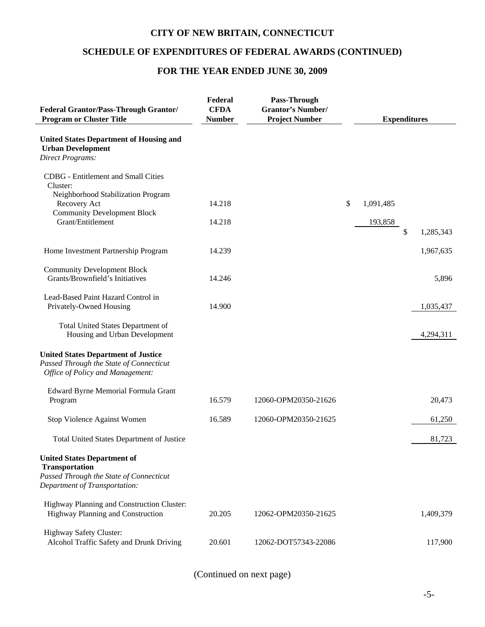## **SCHEDULE OF EXPENDITURES OF FEDERAL AWARDS (CONTINUED)**

## **FOR THE YEAR ENDED JUNE 30, 2009**

| Federal Grantor/Pass-Through Grantor/<br><b>Program or Cluster Title</b>                                                                | Federal<br><b>CFDA</b><br><b>Number</b> | Pass-Through<br><b>Grantor's Number/</b><br><b>Project Number</b> | <b>Expenditures</b> |                 |
|-----------------------------------------------------------------------------------------------------------------------------------------|-----------------------------------------|-------------------------------------------------------------------|---------------------|-----------------|
| <b>United States Department of Housing and</b><br><b>Urban Development</b><br><b>Direct Programs:</b>                                   |                                         |                                                                   |                     |                 |
| <b>CDBG</b> - Entitlement and Small Cities<br>Cluster:<br>Neighborhood Stabilization Program                                            |                                         |                                                                   |                     |                 |
| Recovery Act                                                                                                                            | 14.218                                  |                                                                   | \$<br>1,091,485     |                 |
| <b>Community Development Block</b><br>Grant/Entitlement                                                                                 | 14.218                                  |                                                                   | 193,858             |                 |
|                                                                                                                                         |                                         |                                                                   |                     | \$<br>1,285,343 |
| Home Investment Partnership Program                                                                                                     | 14.239                                  |                                                                   |                     | 1,967,635       |
| <b>Community Development Block</b><br>Grants/Brownfield's Initiatives                                                                   | 14.246                                  |                                                                   |                     | 5,896           |
| Lead-Based Paint Hazard Control in<br>Privately-Owned Housing                                                                           | 14.900                                  |                                                                   |                     | 1,035,437       |
| Total United States Department of<br>Housing and Urban Development                                                                      |                                         |                                                                   |                     | 4,294,311       |
| <b>United States Department of Justice</b><br>Passed Through the State of Connecticut<br>Office of Policy and Management:               |                                         |                                                                   |                     |                 |
| Edward Byrne Memorial Formula Grant<br>Program                                                                                          | 16.579                                  | 12060-OPM20350-21626                                              |                     | 20,473          |
| Stop Violence Against Women                                                                                                             | 16.589                                  | 12060-OPM20350-21625                                              |                     | 61,250          |
| Total United States Department of Justice                                                                                               |                                         |                                                                   |                     | 81,723          |
| <b>United States Department of</b><br><b>Transportation</b><br>Passed Through the State of Connecticut<br>Department of Transportation: |                                         |                                                                   |                     |                 |
| Highway Planning and Construction Cluster:<br>Highway Planning and Construction                                                         | 20.205                                  | 12062-OPM20350-21625                                              |                     | 1,409,379       |
| Highway Safety Cluster:<br>Alcohol Traffic Safety and Drunk Driving                                                                     | 20.601                                  | 12062-DOT57343-22086                                              |                     | 117,900         |

(Continued on next page)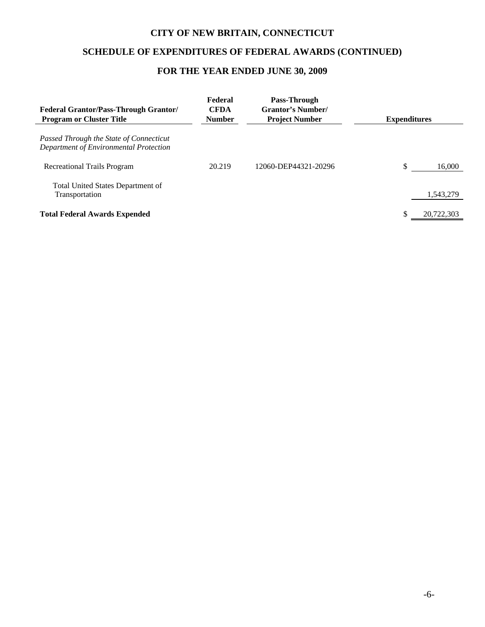## **SCHEDULE OF EXPENDITURES OF FEDERAL AWARDS (CONTINUED)**

## **FOR THE YEAR ENDED JUNE 30, 2009**

| <b>Federal Grantor/Pass-Through Grantor/</b><br><b>Program or Cluster Title</b>   | Federal<br><b>CFDA</b><br><b>Number</b> | <b>Pass-Through</b><br><b>Grantor's Number/</b><br><b>Project Number</b> | <b>Expenditures</b> |            |
|-----------------------------------------------------------------------------------|-----------------------------------------|--------------------------------------------------------------------------|---------------------|------------|
| Passed Through the State of Connecticut<br>Department of Environmental Protection |                                         |                                                                          |                     |            |
| Recreational Trails Program                                                       | 20.219                                  | 12060-DEP44321-20296                                                     | \$                  | 16,000     |
| <b>Total United States Department of</b><br>Transportation                        |                                         |                                                                          |                     | 1,543,279  |
| <b>Total Federal Awards Expended</b>                                              |                                         |                                                                          | \$                  | 20,722,303 |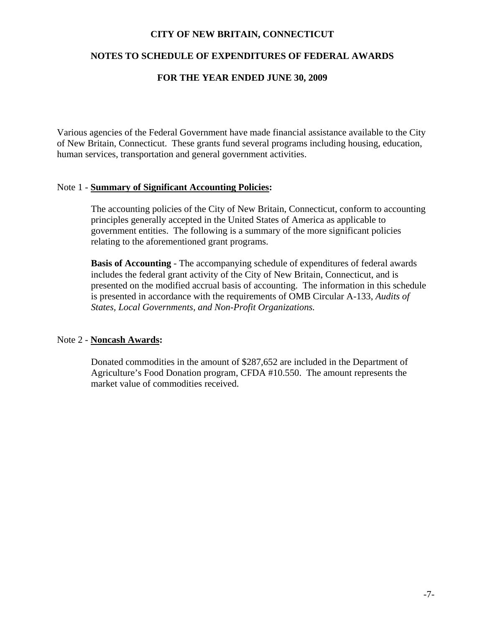#### **NOTES TO SCHEDULE OF EXPENDITURES OF FEDERAL AWARDS**

#### **FOR THE YEAR ENDED JUNE 30, 2009**

Various agencies of the Federal Government have made financial assistance available to the City of New Britain, Connecticut. These grants fund several programs including housing, education, human services, transportation and general government activities.

#### Note 1 - **Summary of Significant Accounting Policies:**

The accounting policies of the City of New Britain, Connecticut, conform to accounting principles generally accepted in the United States of America as applicable to government entities. The following is a summary of the more significant policies relating to the aforementioned grant programs.

**Basis of Accounting** - The accompanying schedule of expenditures of federal awards includes the federal grant activity of the City of New Britain, Connecticut, and is presented on the modified accrual basis of accounting. The information in this schedule is presented in accordance with the requirements of OMB Circular A-133, *Audits of States, Local Governments, and Non-Profit Organizations.*

#### Note 2 - **Noncash Awards:**

Donated commodities in the amount of \$287,652 are included in the Department of Agriculture's Food Donation program, CFDA #10.550. The amount represents the market value of commodities received.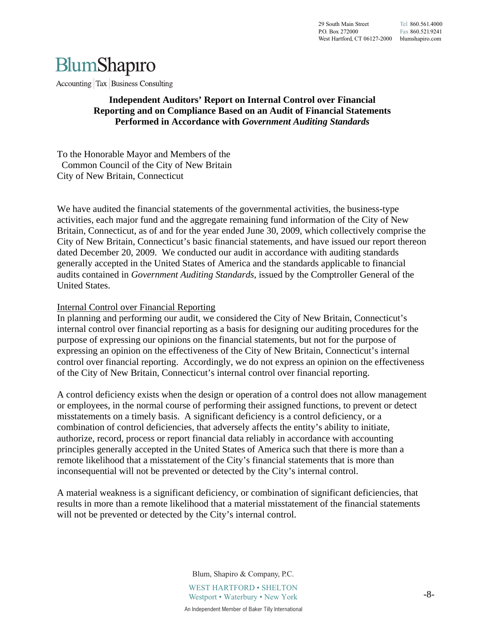# BlumShapiro

Accounting  $\vert$  Tax  $\vert$  Business Consulting

## **Independent Auditors' Report on Internal Control over Financial Reporting and on Compliance Based on an Audit of Financial Statements Performed in Accordance with** *Government Auditing Standards*

To the Honorable Mayor and Members of the Common Council of the City of New Britain City of New Britain, Connecticut

We have audited the financial statements of the governmental activities, the business-type activities, each major fund and the aggregate remaining fund information of the City of New Britain, Connecticut, as of and for the year ended June 30, 2009, which collectively comprise the City of New Britain, Connecticut's basic financial statements, and have issued our report thereon dated December 20, 2009. We conducted our audit in accordance with auditing standards generally accepted in the United States of America and the standards applicable to financial audits contained in *Government Auditing Standards*, issued by the Comptroller General of the United States.

#### Internal Control over Financial Reporting

In planning and performing our audit, we considered the City of New Britain, Connecticut's internal control over financial reporting as a basis for designing our auditing procedures for the purpose of expressing our opinions on the financial statements, but not for the purpose of expressing an opinion on the effectiveness of the City of New Britain, Connecticut's internal control over financial reporting. Accordingly, we do not express an opinion on the effectiveness of the City of New Britain, Connecticut's internal control over financial reporting.

A control deficiency exists when the design or operation of a control does not allow management or employees, in the normal course of performing their assigned functions, to prevent or detect misstatements on a timely basis. A significant deficiency is a control deficiency, or a combination of control deficiencies, that adversely affects the entity's ability to initiate, authorize, record, process or report financial data reliably in accordance with accounting principles generally accepted in the United States of America such that there is more than a remote likelihood that a misstatement of the City's financial statements that is more than inconsequential will not be prevented or detected by the City's internal control.

A material weakness is a significant deficiency, or combination of significant deficiencies, that results in more than a remote likelihood that a material misstatement of the financial statements will not be prevented or detected by the City's internal control.

> Blum, Shapiro & Company, P.C. WEST HARTFORD • SHELTON Westport • Waterbury • New York An Independent Member of Baker Tilly International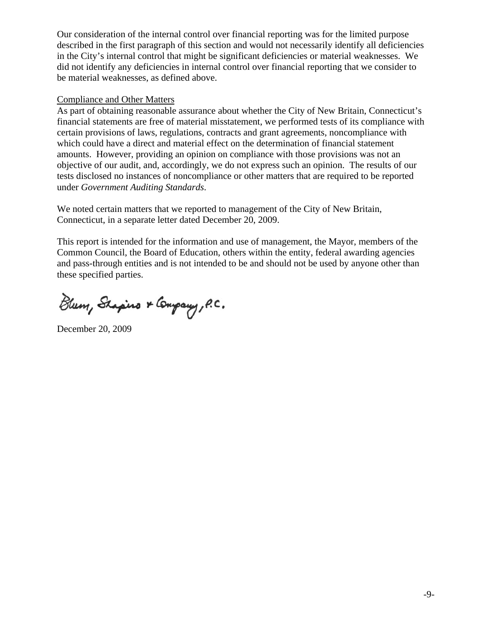Our consideration of the internal control over financial reporting was for the limited purpose described in the first paragraph of this section and would not necessarily identify all deficiencies in the City's internal control that might be significant deficiencies or material weaknesses. We did not identify any deficiencies in internal control over financial reporting that we consider to be material weaknesses, as defined above.

#### Compliance and Other Matters

As part of obtaining reasonable assurance about whether the City of New Britain, Connecticut's financial statements are free of material misstatement, we performed tests of its compliance with certain provisions of laws, regulations, contracts and grant agreements, noncompliance with which could have a direct and material effect on the determination of financial statement amounts. However, providing an opinion on compliance with those provisions was not an objective of our audit, and, accordingly, we do not express such an opinion. The results of our tests disclosed no instances of noncompliance or other matters that are required to be reported under *Government Auditing Standards*.

We noted certain matters that we reported to management of the City of New Britain, Connecticut, in a separate letter dated December 20, 2009.

This report is intended for the information and use of management, the Mayor, members of the Common Council, the Board of Education, others within the entity, federal awarding agencies and pass-through entities and is not intended to be and should not be used by anyone other than these specified parties.

Blum, Shapino & Company, P.C.

December 20, 2009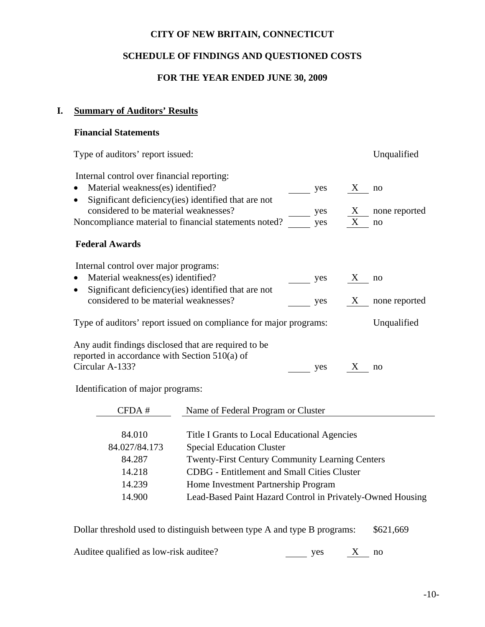## **SCHEDULE OF FINDINGS AND QUESTIONED COSTS**

## **FOR THE YEAR ENDED JUNE 30, 2009**

## **I. Summary of Auditors' Results**

## **Financial Statements**

| Type of auditors' report issued:                                                                        |     |   | Unqualified   |
|---------------------------------------------------------------------------------------------------------|-----|---|---------------|
| Internal control over financial reporting:                                                              |     |   |               |
| Material weakness(es) identified?                                                                       | yes | X | no            |
| Significant deficiency (ies) identified that are not                                                    |     |   |               |
| considered to be material weaknesses?                                                                   | yes | X | none reported |
| Noncompliance material to financial statements noted?                                                   | yes | X | no            |
| <b>Federal Awards</b>                                                                                   |     |   |               |
| Internal control over major programs:                                                                   |     |   |               |
| Material weakness(es) identified?                                                                       | yes | X | no            |
| Significant deficiency (ies) identified that are not<br>$\bullet$                                       |     |   |               |
| considered to be material weaknesses?                                                                   | yes | X | none reported |
| Type of auditors' report issued on compliance for major programs:                                       |     |   | Unqualified   |
| Any audit findings disclosed that are required to be<br>reported in accordance with Section $510(a)$ of |     |   |               |
| Circular A-133?                                                                                         | yes |   | no            |

Identification of major programs:

| CFDA#         | Name of Federal Program or Cluster                         |
|---------------|------------------------------------------------------------|
|               |                                                            |
| 84.010        | Title I Grants to Local Educational Agencies               |
| 84.027/84.173 | <b>Special Education Cluster</b>                           |
| 84.287        | <b>Twenty-First Century Community Learning Centers</b>     |
| 14.218        | <b>CDBG</b> - Entitlement and Small Cities Cluster         |
| 14.239        | Home Investment Partnership Program                        |
| 14.900        | Lead-Based Paint Hazard Control in Privately-Owned Housing |

Dollar threshold used to distinguish between type A and type B programs: \$621,669

Auditee qualified as low-risk auditee?  $\frac{X}{x}$  no